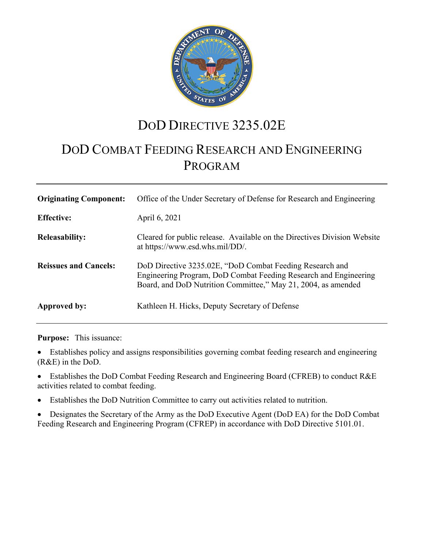

# DOD DIRECTIVE 3235.02E

# DOD COMBAT FEEDING RESEARCH AND ENGINEERING PROGRAM

| <b>Originating Component:</b> | Office of the Under Secretary of Defense for Research and Engineering                                                                                                                         |
|-------------------------------|-----------------------------------------------------------------------------------------------------------------------------------------------------------------------------------------------|
| <b>Effective:</b>             | April 6, 2021                                                                                                                                                                                 |
| <b>Releasability:</b>         | Cleared for public release. Available on the Directives Division Website<br>at https://www.esd.whs.mil/DD/.                                                                                   |
| <b>Reissues and Cancels:</b>  | DoD Directive 3235.02E, "DoD Combat Feeding Research and<br>Engineering Program, DoD Combat Feeding Research and Engineering<br>Board, and DoD Nutrition Committee," May 21, 2004, as amended |
| Approved by:                  | Kathleen H. Hicks, Deputy Secretary of Defense                                                                                                                                                |

**Purpose:** This issuance:

• Establishes policy and assigns responsibilities governing combat feeding research and engineering (R&E) in the DoD.

• Establishes the DoD Combat Feeding Research and Engineering Board (CFREB) to conduct R&E activities related to combat feeding.

- Establishes the DoD Nutrition Committee to carry out activities related to nutrition.
- Designates the Secretary of the Army as the DoD Executive Agent (DoD EA) for the DoD Combat Feeding Research and Engineering Program (CFREP) in accordance with DoD Directive 5101.01.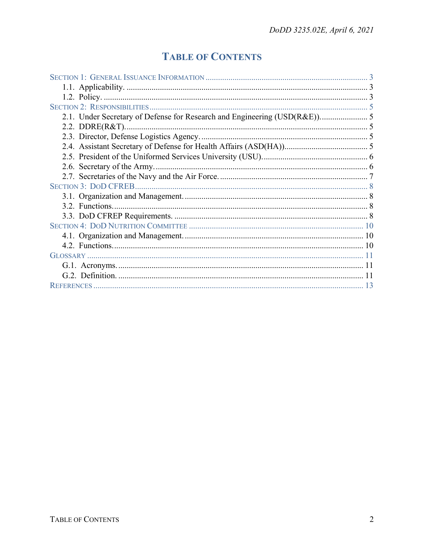# **TABLE OF CONTENTS**

| 2.1. Under Secretary of Defense for Research and Engineering (USD(R&E)) 5 |  |
|---------------------------------------------------------------------------|--|
|                                                                           |  |
|                                                                           |  |
|                                                                           |  |
|                                                                           |  |
|                                                                           |  |
|                                                                           |  |
|                                                                           |  |
|                                                                           |  |
|                                                                           |  |
|                                                                           |  |
|                                                                           |  |
|                                                                           |  |
|                                                                           |  |
|                                                                           |  |
|                                                                           |  |
|                                                                           |  |
|                                                                           |  |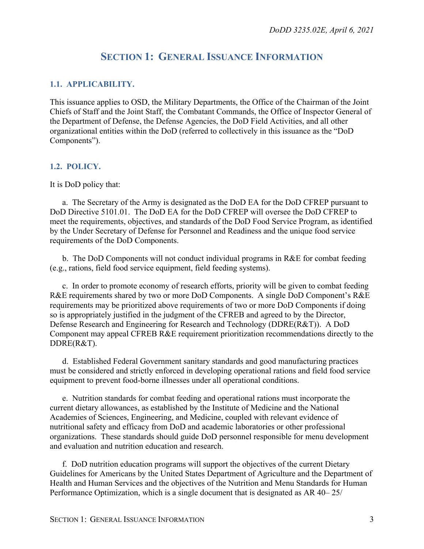## **SECTION 1: GENERAL ISSUANCE INFORMATION**

### <span id="page-2-1"></span><span id="page-2-0"></span>**1.1. APPLICABILITY.**

This issuance applies to OSD, the Military Departments, the Office of the Chairman of the Joint Chiefs of Staff and the Joint Staff, the Combatant Commands, the Office of Inspector General of the Department of Defense, the Defense Agencies, the DoD Field Activities, and all other organizational entities within the DoD (referred to collectively in this issuance as the "DoD Components").

### <span id="page-2-2"></span>**1.2. POLICY.**

It is DoD policy that:

a. The Secretary of the Army is designated as the DoD EA for the DoD CFREP pursuant to DoD Directive 5101.01. The DoD EA for the DoD CFREP will oversee the DoD CFREP to meet the requirements, objectives, and standards of the DoD Food Service Program, as identified by the Under Secretary of Defense for Personnel and Readiness and the unique food service requirements of the DoD Components.

b. The DoD Components will not conduct individual programs in R&E for combat feeding (e.g., rations, field food service equipment, field feeding systems).

c. In order to promote economy of research efforts, priority will be given to combat feeding R&E requirements shared by two or more DoD Components. A single DoD Component's R&E requirements may be prioritized above requirements of two or more DoD Components if doing so is appropriately justified in the judgment of the CFREB and agreed to by the Director, Defense Research and Engineering for Research and Technology (DDRE(R&T)). A DoD Component may appeal CFREB R&E requirement prioritization recommendations directly to the DDRE(R&T).

d. Established Federal Government sanitary standards and good manufacturing practices must be considered and strictly enforced in developing operational rations and field food service equipment to prevent food-borne illnesses under all operational conditions.

e. Nutrition standards for combat feeding and operational rations must incorporate the current dietary allowances, as established by the Institute of Medicine and the National Academies of Sciences, Engineering, and Medicine, coupled with relevant evidence of nutritional safety and efficacy from DoD and academic laboratories or other professional organizations. These standards should guide DoD personnel responsible for menu development and evaluation and nutrition education and research.

f. DoD nutrition education programs will support the objectives of the current Dietary Guidelines for Americans by the United States Department of Agriculture and the Department of Health and Human Services and the objectives of the Nutrition and Menu Standards for Human Performance Optimization, which is a single document that is designated as AR 40– 25/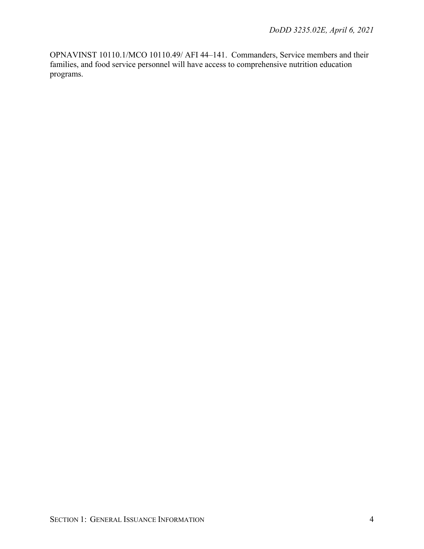OPNAVINST 10110.1/MCO 10110.49/ AFI 44–141. Commanders, Service members and their families, and food service personnel will have access to comprehensive nutrition education programs.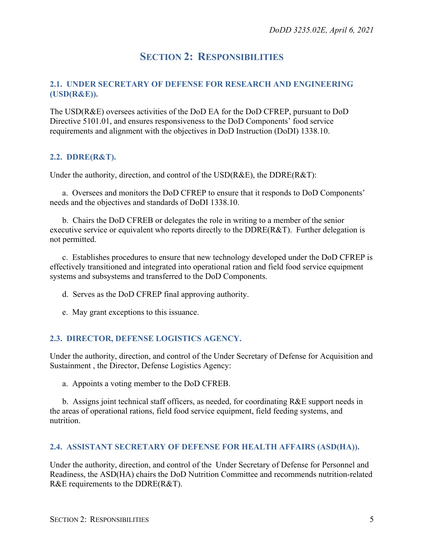## **SECTION 2: RESPONSIBILITIES**

### <span id="page-4-1"></span><span id="page-4-0"></span>**2.1. UNDER SECRETARY OF DEFENSE FOR RESEARCH AND ENGINEERING (USD(R&E)).**

The USD(R&E) oversees activities of the DoD EA for the DoD CFREP, pursuant to DoD Directive 5101.01, and ensures responsiveness to the DoD Components' food service requirements and alignment with the objectives in DoD Instruction (DoDI) 1338.10.

### <span id="page-4-2"></span>**2.2. DDRE(R&T).**

Under the authority, direction, and control of the USD(R&E), the DDRE(R&T):

a. Oversees and monitors the DoD CFREP to ensure that it responds to DoD Components' needs and the objectives and standards of DoDI 1338.10.

b. Chairs the DoD CFREB or delegates the role in writing to a member of the senior executive service or equivalent who reports directly to the DDRE(R&T). Further delegation is not permitted.

c. Establishes procedures to ensure that new technology developed under the DoD CFREP is effectively transitioned and integrated into operational ration and field food service equipment systems and subsystems and transferred to the DoD Components.

- d. Serves as the DoD CFREP final approving authority.
- e. May grant exceptions to this issuance.

### <span id="page-4-3"></span>**2.3. DIRECTOR, DEFENSE LOGISTICS AGENCY.**

Under the authority, direction, and control of the Under Secretary of Defense for Acquisition and Sustainment , the Director, Defense Logistics Agency:

a. Appoints a voting member to the DoD CFREB.

b. Assigns joint technical staff officers, as needed, for coordinating R&E support needs in the areas of operational rations, field food service equipment, field feeding systems, and nutrition.

### <span id="page-4-4"></span>**2.4. ASSISTANT SECRETARY OF DEFENSE FOR HEALTH AFFAIRS (ASD(HA)).**

Under the authority, direction, and control of the Under Secretary of Defense for Personnel and Readiness, the ASD(HA) chairs the DoD Nutrition Committee and recommends nutrition-related R&E requirements to the DDRE(R&T).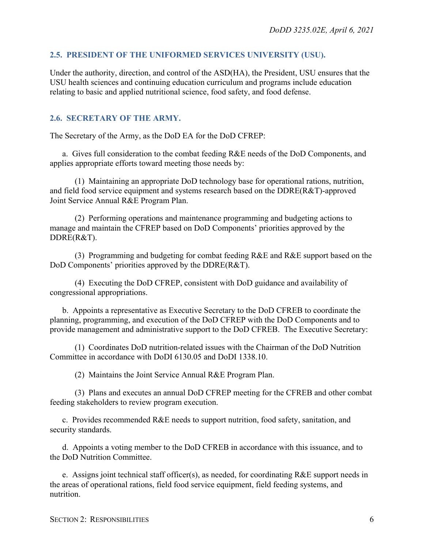### <span id="page-5-0"></span>**2.5. PRESIDENT OF THE UNIFORMED SERVICES UNIVERSITY (USU).**

Under the authority, direction, and control of the ASD(HA), the President, USU ensures that the USU health sciences and continuing education curriculum and programs include education relating to basic and applied nutritional science, food safety, and food defense.

### <span id="page-5-1"></span>**2.6. SECRETARY OF THE ARMY.**

The Secretary of the Army, as the DoD EA for the DoD CFREP:

a. Gives full consideration to the combat feeding R&E needs of the DoD Components, and applies appropriate efforts toward meeting those needs by:

(1) Maintaining an appropriate DoD technology base for operational rations, nutrition, and field food service equipment and systems research based on the DDRE(R&T)-approved Joint Service Annual R&E Program Plan.

(2) Performing operations and maintenance programming and budgeting actions to manage and maintain the CFREP based on DoD Components' priorities approved by the DDRE(R&T).

(3) Programming and budgeting for combat feeding R&E and R&E support based on the DoD Components' priorities approved by the DDRE(R&T).

(4) Executing the DoD CFREP, consistent with DoD guidance and availability of congressional appropriations.

b. Appoints a representative as Executive Secretary to the DoD CFREB to coordinate the planning, programming, and execution of the DoD CFREP with the DoD Components and to provide management and administrative support to the DoD CFREB. The Executive Secretary:

(1) Coordinates DoD nutrition-related issues with the Chairman of the DoD Nutrition Committee in accordance with DoDI 6130.05 and DoDI 1338.10.

(2) Maintains the Joint Service Annual R&E Program Plan.

(3) Plans and executes an annual DoD CFREP meeting for the CFREB and other combat feeding stakeholders to review program execution.

c. Provides recommended R&E needs to support nutrition, food safety, sanitation, and security standards.

d. Appoints a voting member to the DoD CFREB in accordance with this issuance, and to the DoD Nutrition Committee.

e. Assigns joint technical staff officer(s), as needed, for coordinating R&E support needs in the areas of operational rations, field food service equipment, field feeding systems, and nutrition.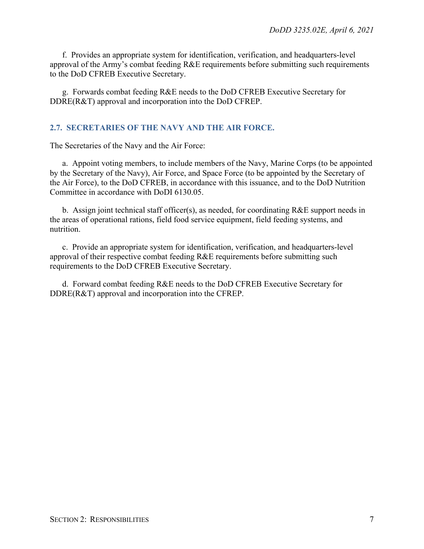f. Provides an appropriate system for identification, verification, and headquarters-level approval of the Army's combat feeding R&E requirements before submitting such requirements to the DoD CFREB Executive Secretary.

g. Forwards combat feeding R&E needs to the DoD CFREB Executive Secretary for DDRE(R&T) approval and incorporation into the DoD CFREP.

### <span id="page-6-0"></span>**2.7. SECRETARIES OF THE NAVY AND THE AIR FORCE.**

The Secretaries of the Navy and the Air Force:

a. Appoint voting members, to include members of the Navy, Marine Corps (to be appointed by the Secretary of the Navy), Air Force, and Space Force (to be appointed by the Secretary of the Air Force), to the DoD CFREB, in accordance with this issuance, and to the DoD Nutrition Committee in accordance with DoDI 6130.05.

b. Assign joint technical staff officer(s), as needed, for coordinating  $R\&E$  support needs in the areas of operational rations, field food service equipment, field feeding systems, and nutrition.

c. Provide an appropriate system for identification, verification, and headquarters-level approval of their respective combat feeding R&E requirements before submitting such requirements to the DoD CFREB Executive Secretary.

d. Forward combat feeding R&E needs to the DoD CFREB Executive Secretary for DDRE(R&T) approval and incorporation into the CFREP.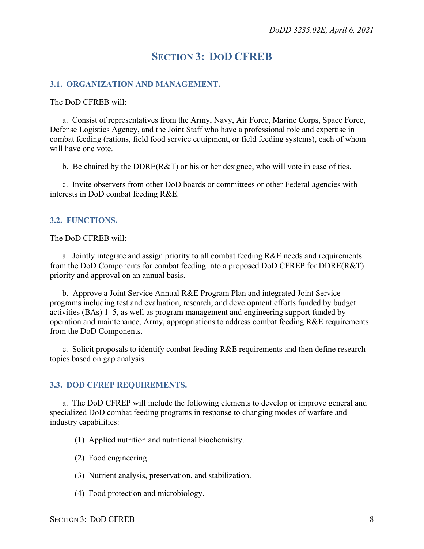## **SECTION 3: DOD CFREB**

### <span id="page-7-1"></span><span id="page-7-0"></span>**3.1. ORGANIZATION AND MANAGEMENT.**

#### The DoD CFREB will:

a. Consist of representatives from the Army, Navy, Air Force, Marine Corps, Space Force, Defense Logistics Agency, and the Joint Staff who have a professional role and expertise in combat feeding (rations, field food service equipment, or field feeding systems), each of whom will have one vote.

b. Be chaired by the DDRE(R&T) or his or her designee, who will vote in case of ties.

c. Invite observers from other DoD boards or committees or other Federal agencies with interests in DoD combat feeding R&E.

### <span id="page-7-2"></span>**3.2. FUNCTIONS.**

#### The DoD CFREB will:

a. Jointly integrate and assign priority to all combat feeding R&E needs and requirements from the DoD Components for combat feeding into a proposed DoD CFREP for DDRE(R&T) priority and approval on an annual basis.

b. Approve a Joint Service Annual R&E Program Plan and integrated Joint Service programs including test and evaluation, research, and development efforts funded by budget activities (BAs) 1–5, as well as program management and engineering support funded by operation and maintenance, Army, appropriations to address combat feeding R&E requirements from the DoD Components.

c. Solicit proposals to identify combat feeding  $R\&E$  requirements and then define research topics based on gap analysis.

### <span id="page-7-3"></span>**3.3. DOD CFREP REQUIREMENTS.**

a. The DoD CFREP will include the following elements to develop or improve general and specialized DoD combat feeding programs in response to changing modes of warfare and industry capabilities:

- (1) Applied nutrition and nutritional biochemistry.
- (2) Food engineering.
- (3) Nutrient analysis, preservation, and stabilization.
- (4) Food protection and microbiology.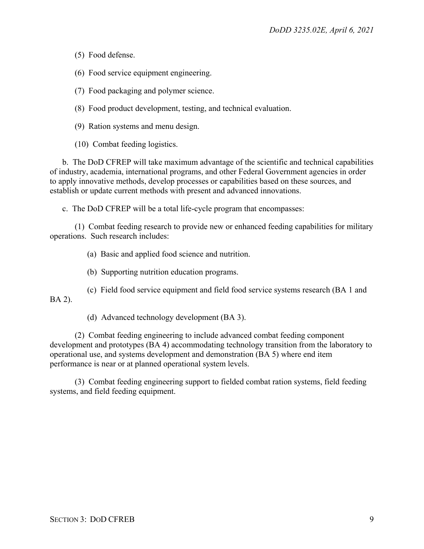(5) Food defense.

(6) Food service equipment engineering.

(7) Food packaging and polymer science.

(8) Food product development, testing, and technical evaluation.

(9) Ration systems and menu design.

(10) Combat feeding logistics.

b. The DoD CFREP will take maximum advantage of the scientific and technical capabilities of industry, academia, international programs, and other Federal Government agencies in order to apply innovative methods, develop processes or capabilities based on these sources, and establish or update current methods with present and advanced innovations.

c. The DoD CFREP will be a total life-cycle program that encompasses:

(1) Combat feeding research to provide new or enhanced feeding capabilities for military operations. Such research includes:

(a) Basic and applied food science and nutrition.

(b) Supporting nutrition education programs.

(c) Field food service equipment and field food service systems research (BA 1 and BA 2).

(d) Advanced technology development (BA 3).

(2) Combat feeding engineering to include advanced combat feeding component development and prototypes (BA 4) accommodating technology transition from the laboratory to operational use, and systems development and demonstration (BA 5) where end item performance is near or at planned operational system levels.

(3) Combat feeding engineering support to fielded combat ration systems, field feeding systems, and field feeding equipment.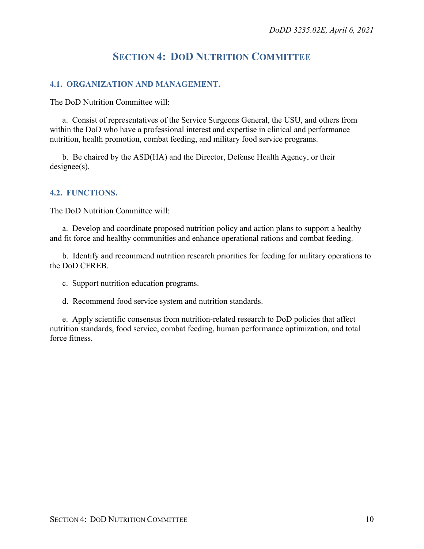## **SECTION 4: DOD NUTRITION COMMITTEE**

### <span id="page-9-1"></span><span id="page-9-0"></span>**4.1. ORGANIZATION AND MANAGEMENT.**

The DoD Nutrition Committee will:

a. Consist of representatives of the Service Surgeons General, the USU, and others from within the DoD who have a professional interest and expertise in clinical and performance nutrition, health promotion, combat feeding, and military food service programs.

b. Be chaired by the ASD(HA) and the Director, Defense Health Agency, or their designee(s).

### <span id="page-9-2"></span>**4.2. FUNCTIONS.**

The DoD Nutrition Committee will:

a. Develop and coordinate proposed nutrition policy and action plans to support a healthy and fit force and healthy communities and enhance operational rations and combat feeding.

b. Identify and recommend nutrition research priorities for feeding for military operations to the DoD CFREB.

c. Support nutrition education programs.

d. Recommend food service system and nutrition standards.

e. Apply scientific consensus from nutrition-related research to DoD policies that affect nutrition standards, food service, combat feeding, human performance optimization, and total force fitness.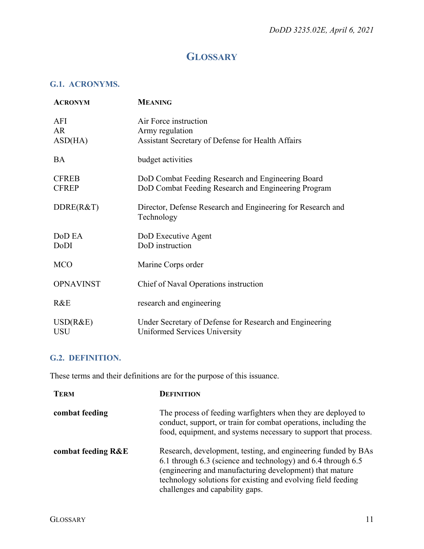## **GLOSSARY**

### <span id="page-10-1"></span><span id="page-10-0"></span>**G.1. ACRONYMS.**

| <b>ACRONYM</b>               | <b>MEANING</b>                                                                                           |
|------------------------------|----------------------------------------------------------------------------------------------------------|
| AFI<br>AR<br>ASD(HA)         | Air Force instruction<br>Army regulation<br>Assistant Secretary of Defense for Health Affairs            |
| <b>BA</b>                    | budget activities                                                                                        |
| <b>CFREB</b><br><b>CFREP</b> | DoD Combat Feeding Research and Engineering Board<br>DoD Combat Feeding Research and Engineering Program |
| DDRE(R&T)                    | Director, Defense Research and Engineering for Research and<br>Technology                                |
| DoD EA<br>DoDI               | DoD Executive Agent<br>DoD instruction                                                                   |
| <b>MCO</b>                   | Marine Corps order                                                                                       |
| <b>OPNAVINST</b>             | Chief of Naval Operations instruction                                                                    |
| R&E                          | research and engineering                                                                                 |
| USD(R&E)<br><b>USU</b>       | Under Secretary of Defense for Research and Engineering<br>Uniformed Services University                 |

### <span id="page-10-2"></span>**G.2. DEFINITION.**

These terms and their definitions are for the purpose of this issuance.

| <b>TERM</b>        | <b>DEFINITION</b>                                                                                                                                                                                                                                                                           |
|--------------------|---------------------------------------------------------------------------------------------------------------------------------------------------------------------------------------------------------------------------------------------------------------------------------------------|
| combat feeding     | The process of feeding warfighters when they are deployed to<br>conduct, support, or train for combat operations, including the<br>food, equipment, and systems necessary to support that process.                                                                                          |
| combat feeding R&E | Research, development, testing, and engineering funded by BAs<br>6.1 through 6.3 (science and technology) and 6.4 through 6.5<br>(engineering and manufacturing development) that mature<br>technology solutions for existing and evolving field feeding<br>challenges and capability gaps. |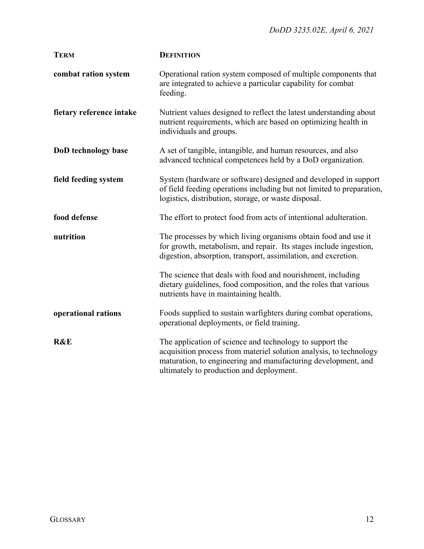| <b>TERM</b>              | <b>DEFINITION</b>                                                                                                                                                                                                                           |
|--------------------------|---------------------------------------------------------------------------------------------------------------------------------------------------------------------------------------------------------------------------------------------|
| combat ration system     | Operational ration system composed of multiple components that<br>are integrated to achieve a particular capability for combat<br>feeding.                                                                                                  |
| fietary reference intake | Nutrient values designed to reflect the latest understanding about<br>nutrient requirements, which are based on optimizing health in<br>individuals and groups.                                                                             |
| DoD technology base      | A set of tangible, intangible, and human resources, and also<br>advanced technical competences held by a DoD organization.                                                                                                                  |
| field feeding system     | System (hardware or software) designed and developed in support<br>of field feeding operations including but not limited to preparation,<br>logistics, distribution, storage, or waste disposal.                                            |
| food defense             | The effort to protect food from acts of intentional adulteration.                                                                                                                                                                           |
| nutrition                | The processes by which living organisms obtain food and use it<br>for growth, metabolism, and repair. Its stages include ingestion,<br>digestion, absorption, transport, assimilation, and excretion.                                       |
|                          | The science that deals with food and nourishment, including<br>dietary guidelines, food composition, and the roles that various<br>nutrients have in maintaining health.                                                                    |
| operational rations      | Foods supplied to sustain warfighters during combat operations,<br>operational deployments, or field training.                                                                                                                              |
| <b>R&amp;E</b>           | The application of science and technology to support the<br>acquisition process from materiel solution analysis, to technology<br>maturation, to engineering and manufacturing development, and<br>ultimately to production and deployment. |